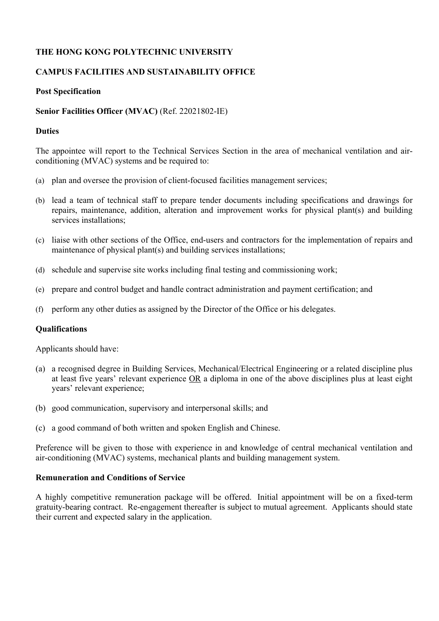# **THE HONG KONG POLYTECHNIC UNIVERSITY**

### **CAMPUS FACILITIES AND SUSTAINABILITY OFFICE**

### **Post Specification**

### **Senior Facilities Officer (MVAC)** (Ref. 22021802-IE)

### **Duties**

The appointee will report to the Technical Services Section in the area of mechanical ventilation and airconditioning (MVAC) systems and be required to:

- (a) plan and oversee the provision of client-focused facilities management services;
- (b) lead a team of technical staff to prepare tender documents including specifications and drawings for repairs, maintenance, addition, alteration and improvement works for physical plant(s) and building services installations:
- (c) liaise with other sections of the Office, end-users and contractors for the implementation of repairs and maintenance of physical plant(s) and building services installations;
- (d) schedule and supervise site works including final testing and commissioning work;
- (e) prepare and control budget and handle contract administration and payment certification; and
- (f) perform any other duties as assigned by the Director of the Office or his delegates.

#### **Qualifications**

Applicants should have:

- (a) a recognised degree in Building Services, Mechanical/Electrical Engineering or a related discipline plus at least five years' relevant experience OR a diploma in one of the above disciplines plus at least eight years' relevant experience;
- (b) good communication, supervisory and interpersonal skills; and
- (c) a good command of both written and spoken English and Chinese.

Preference will be given to those with experience in and knowledge of central mechanical ventilation and air-conditioning (MVAC) systems, mechanical plants and building management system.

### **Remuneration and Conditions of Service**

A highly competitive remuneration package will be offered. Initial appointment will be on a fixed-term gratuity-bearing contract. Re-engagement thereafter is subject to mutual agreement. Applicants should state their current and expected salary in the application.